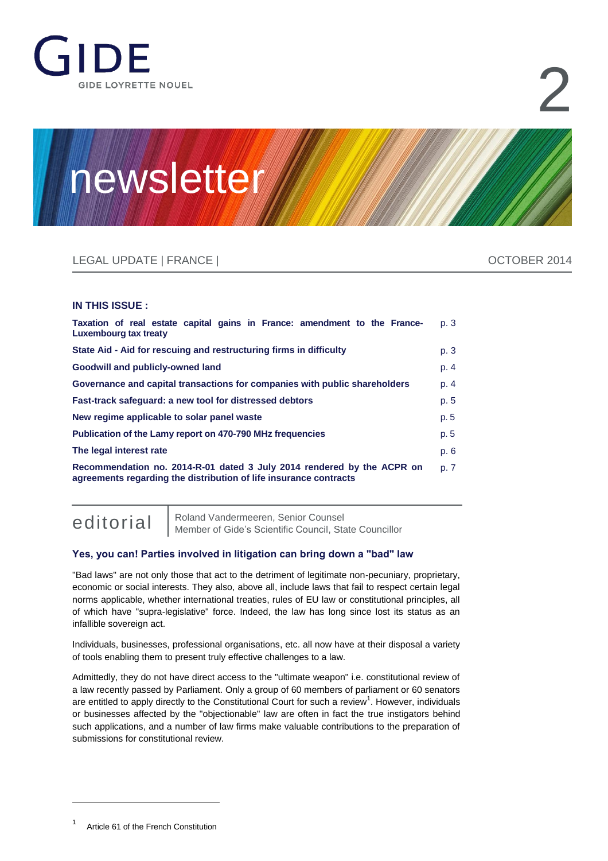

# 2

# newsletter

## LEGAL UPDATE | FRANCE | OCTOBER 2014

#### **IN THIS ISSUE :**

| Taxation of real estate capital gains in France: amendment to the France-<br>Luxembourg tax treaty                                          | p. 3 |
|---------------------------------------------------------------------------------------------------------------------------------------------|------|
| State Aid - Aid for rescuing and restructuring firms in difficulty                                                                          | p. 3 |
| Goodwill and publicly-owned land                                                                                                            | p. 4 |
| Governance and capital transactions for companies with public shareholders                                                                  | p. 4 |
| Fast-track safeguard: a new tool for distressed debtors                                                                                     | p. 5 |
| New regime applicable to solar panel waste                                                                                                  | p. 5 |
| Publication of the Lamy report on 470-790 MHz frequencies                                                                                   | p. 5 |
| The legal interest rate                                                                                                                     | p. 6 |
| Recommendation no. 2014-R-01 dated 3 July 2014 rendered by the ACPR on<br>agreements regarding the distribution of life insurance contracts | p. 7 |

editorial | [Roland Vandermeeren,](http://www.gide.com/en/lawyers/roland-vandermeeren) Senior Counsel<br>Member of Gide's Scientific Council, State Councillor

#### **Yes, you can! Parties involved in litigation can bring down a "bad" law**

"Bad laws" are not only those that act to the detriment of legitimate non-pecuniary, proprietary, economic or social interests. They also, above all, include laws that fail to respect certain legal norms applicable, whether international treaties, rules of EU law or constitutional principles, all of which have "supra-legislative" force. Indeed, the law has long since lost its status as an infallible sovereign act.

Individuals, businesses, professional organisations, etc. all now have at their disposal a variety of tools enabling them to present truly effective challenges to a law.

Admittedly, they do not have direct access to the "ultimate weapon" i.e. constitutional review of a law recently passed by Parliament. Only a group of 60 members of parliament or 60 senators are entitled to apply directly to the Constitutional Court for such a review<sup>1</sup>. However, individuals or businesses affected by the "objectionable" law are often in fact the true instigators behind such applications, and a number of law firms make valuable contributions to the preparation of submissions for constitutional review.

 $\overline{a}$ 

<sup>1</sup> Article 61 of the French Constitution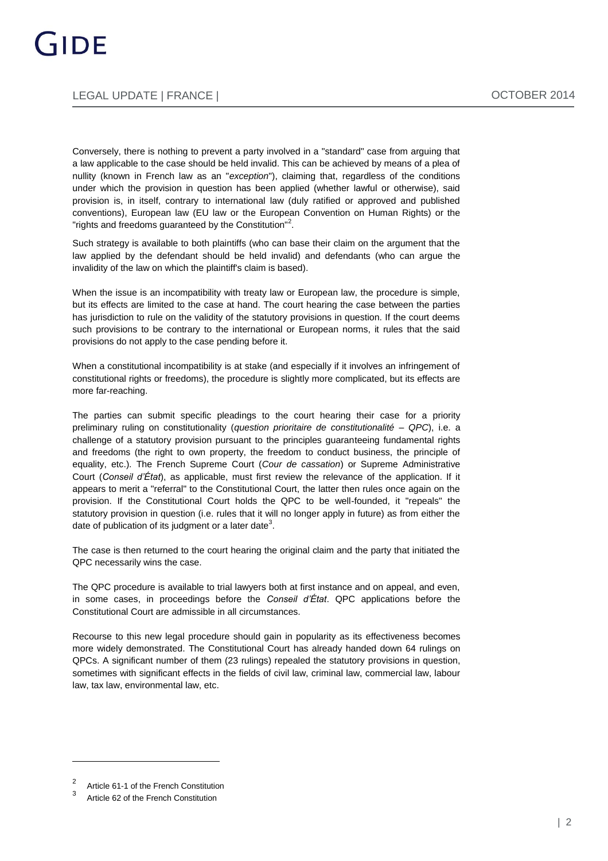Conversely, there is nothing to prevent a party involved in a "standard" case from arguing that a law applicable to the case should be held invalid. This can be achieved by means of a plea of nullity (known in French law as an "*exception*"), claiming that, regardless of the conditions under which the provision in question has been applied (whether lawful or otherwise), said provision is, in itself, contrary to international law (duly ratified or approved and published conventions), European law (EU law or the European Convention on Human Rights) or the "rights and freedoms guaranteed by the Constitution"<sup>2</sup>.

Such strategy is available to both plaintiffs (who can base their claim on the argument that the law applied by the defendant should be held invalid) and defendants (who can argue the invalidity of the law on which the plaintiff's claim is based).

When the issue is an incompatibility with treaty law or European law, the procedure is simple, but its effects are limited to the case at hand. The court hearing the case between the parties has jurisdiction to rule on the validity of the statutory provisions in question. If the court deems such provisions to be contrary to the international or European norms, it rules that the said provisions do not apply to the case pending before it.

When a constitutional incompatibility is at stake (and especially if it involves an infringement of constitutional rights or freedoms), the procedure is slightly more complicated, but its effects are more far-reaching.

The parties can submit specific pleadings to the court hearing their case for a priority preliminary ruling on constitutionality (*question prioritaire de constitutionalité* ‒ *QPC*), i.e. a challenge of a statutory provision pursuant to the principles guaranteeing fundamental rights and freedoms (the right to own property, the freedom to conduct business, the principle of equality, etc.). The French Supreme Court (*Cour de cassation*) or Supreme Administrative Court (*Conseil d'État*), as applicable, must first review the relevance of the application. If it appears to merit a "referral" to the Constitutional Court, the latter then rules once again on the provision. If the Constitutional Court holds the QPC to be well-founded, it "repeals" the statutory provision in question (i.e. rules that it will no longer apply in future) as from either the date of publication of its judgment or a later date<sup>3</sup>.

The case is then returned to the court hearing the original claim and the party that initiated the QPC necessarily wins the case.

The QPC procedure is available to trial lawyers both at first instance and on appeal, and even, in some cases, in proceedings before the *Conseil d'État*. QPC applications before the Constitutional Court are admissible in all circumstances.

Recourse to this new legal procedure should gain in popularity as its effectiveness becomes more widely demonstrated. The Constitutional Court has already handed down 64 rulings on QPCs. A significant number of them (23 rulings) repealed the statutory provisions in question, sometimes with significant effects in the fields of civil law, criminal law, commercial law, labour law, tax law, environmental law, etc.

 $\overline{a}$ 

 $\overline{2}$ Article 61-1 of the French Constitution

<sup>3</sup> Article 62 of the French Constitution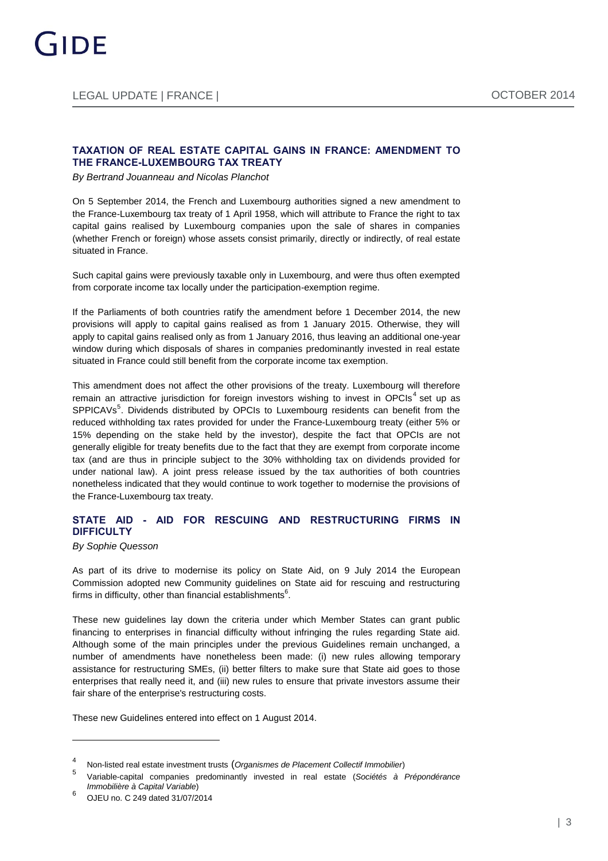#### **TAXATION OF REAL ESTATE CAPITAL GAINS IN FRANCE: AMENDMENT TO THE FRANCE-LUXEMBOURG TAX TREATY**

*B[y Bertrand Jouanneau](http://www.gide.com/en/lawyers/bertrand-jouanneau) and [Nicolas Planchot](http://www.gide.com/en/lawyers/nicolas-planchot)*

On 5 September 2014, the French and Luxembourg authorities signed a new amendment to the France-Luxembourg tax treaty of 1 April 1958, which will attribute to France the right to tax capital gains realised by Luxembourg companies upon the sale of shares in companies (whether French or foreign) whose assets consist primarily, directly or indirectly, of real estate situated in France.

Such capital gains were previously taxable only in Luxembourg, and were thus often exempted from corporate income tax locally under the participation-exemption regime.

If the Parliaments of both countries ratify the amendment before 1 December 2014, the new provisions will apply to capital gains realised as from 1 January 2015. Otherwise, they will apply to capital gains realised only as from 1 January 2016, thus leaving an additional one-year window during which disposals of shares in companies predominantly invested in real estate situated in France could still benefit from the corporate income tax exemption.

This amendment does not affect the other provisions of the treaty. Luxembourg will therefore remain an attractive jurisdiction for foreign investors wishing to invest in OPCIs<sup>4</sup> set up as SPPICAVs<sup>5</sup>. Dividends distributed by OPCIs to Luxembourg residents can benefit from the reduced withholding tax rates provided for under the France-Luxembourg treaty (either 5% or 15% depending on the stake held by the investor), despite the fact that OPCIs are not generally eligible for treaty benefits due to the fact that they are exempt from corporate income tax (and are thus in principle subject to the 30% withholding tax on dividends provided for under national law). A joint press release issued by the tax authorities of both countries nonetheless indicated that they would continue to work together to modernise the provisions of the France-Luxembourg tax treaty.

#### **STATE AID - AID FOR RESCUING AND RESTRUCTURING FIRMS IN DIFFICULTY**

*B[y Sophie Quesson](http://www.gide.com/en/lawyers/sophie-quesson)*

As part of its drive to modernise its policy on State Aid, on 9 July 2014 the European Commission adopted new Community guidelines on State aid for rescuing and restructuring firms in difficulty, other than financial establishments $^6$ .

These new guidelines lay down the criteria under which Member States can grant public financing to enterprises in financial difficulty without infringing the rules regarding State aid. Although some of the main principles under the previous Guidelines remain unchanged, a number of amendments have nonetheless been made: (i) new rules allowing temporary assistance for restructuring SMEs, (ii) better filters to make sure that State aid goes to those enterprises that really need it, and (iii) new rules to ensure that private investors assume their fair share of the enterprise's restructuring costs.

These new Guidelines entered into effect on 1 August 2014.

<sup>4</sup> Non-listed real estate investment trusts (*Organismes de Placement Collectif Immobilier*)

<sup>5</sup> Variable-capital companies predominantly invested in real estate (*Sociétés à Prépondérance Immobilière à Capital Variable*) 6

OJEU no. C 249 dated 31/07/2014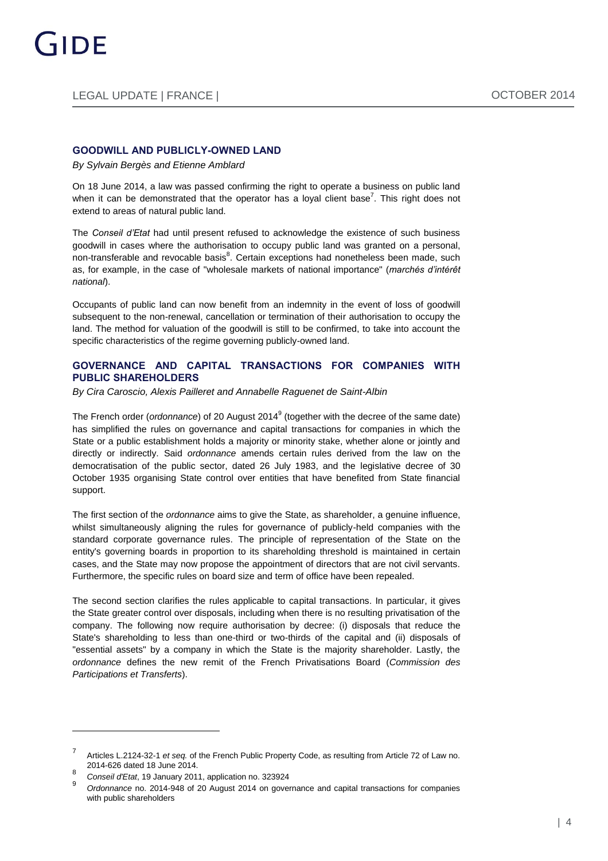#### **GOODWILL AND PUBLICLY-OWNED LAND**

*B[y Sylvain Bergès](http://www.gide.com/en/lawyers/sylvain-berges) and [Etienne Amblard](http://www.gide.com/en/lawyers/etienne-amblard)*

On 18 June 2014, a law was passed confirming the right to operate a business on public land when it can be demonstrated that the operator has a loyal client base<sup>7</sup>. This right does not extend to areas of natural public land.

The *Conseil d'Etat* had until present refused to acknowledge the existence of such business goodwill in cases where the authorisation to occupy public land was granted on a personal, non-transferable and revocable basis<sup>8</sup>. Certain exceptions had nonetheless been made, such as, for example, in the case of "wholesale markets of national importance" (*marchés d'intérêt national*).

Occupants of public land can now benefit from an indemnity in the event of loss of goodwill subsequent to the non-renewal, cancellation or termination of their authorisation to occupy the land. The method for valuation of the goodwill is still to be confirmed, to take into account the specific characteristics of the regime governing publicly-owned land.

#### **GOVERNANCE AND CAPITAL TRANSACTIONS FOR COMPANIES WITH PUBLIC SHAREHOLDERS**

*B[y Cira Caroscio,](http://www.gide.com/en/lawyers/cira-veronica-caroscio) [Alexis Pailleret](http://www.gide.com/en/lawyers/alexis-pailleret) and [Annabelle Raguenet de Saint-Albin](http://www.gide.com/en/lawyers/annabelle-raguenet-de-saint-albin)*

The French order (*ordonnance*) of 20 August 2014<sup>9</sup> (together with the decree of the same date) has simplified the rules on governance and capital transactions for companies in which the State or a public establishment holds a majority or minority stake, whether alone or jointly and directly or indirectly. Said *ordonnance* amends certain rules derived from the law on the democratisation of the public sector, dated 26 July 1983, and the legislative decree of 30 October 1935 organising State control over entities that have benefited from State financial support.

The first section of the *ordonnance* aims to give the State, as shareholder, a genuine influence, whilst simultaneously aligning the rules for governance of publicly-held companies with the standard corporate governance rules. The principle of representation of the State on the entity's governing boards in proportion to its shareholding threshold is maintained in certain cases, and the State may now propose the appointment of directors that are not civil servants. Furthermore, the specific rules on board size and term of office have been repealed.

The second section clarifies the rules applicable to capital transactions. In particular, it gives the State greater control over disposals, including when there is no resulting privatisation of the company. The following now require authorisation by decree: (i) disposals that reduce the State's shareholding to less than one-third or two-thirds of the capital and (ii) disposals of "essential assets" by a company in which the State is the majority shareholder. Lastly, the *ordonnance* defines the new remit of the French Privatisations Board (*Commission des Participations et Transferts*).

<sup>7</sup> Articles L.2124-32-1 *et seq.* of the French Public Property Code, as resulting from Article 72 of Law no. 2014-626 dated 18 June 2014.

<sup>8</sup> *Conseil d'Etat*, 19 January 2011, application no. 323924

<sup>9</sup> *Ordonnance* no. 2014-948 of 20 August 2014 on governance and capital transactions for companies with public shareholders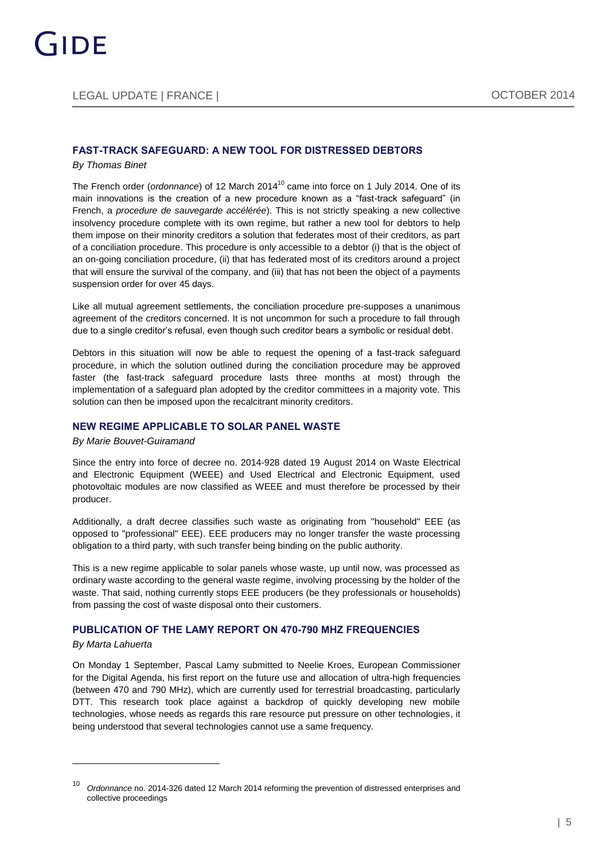#### **FAST-TRACK SAFEGUARD: A NEW TOOL FOR DISTRESSED DEBTORS**

#### *B[y Thomas Binet](http://www.gide.com/en/lawyers/thomas-binet)*

The French order (*ordonnance*) of 12 March 2014<sup>10</sup> came into force on 1 July 2014. One of its main innovations is the creation of a new procedure known as a "fast-track safeguard" (in French, a *procedure de sauvegarde accélérée*). This is not strictly speaking a new collective insolvency procedure complete with its own regime, but rather a new tool for debtors to help them impose on their minority creditors a solution that federates most of their creditors, as part of a conciliation procedure. This procedure is only accessible to a debtor (i) that is the object of an on-going conciliation procedure, (ii) that has federated most of its creditors around a project that will ensure the survival of the company, and (iii) that has not been the object of a payments suspension order for over 45 days.

Like all mutual agreement settlements, the conciliation procedure pre-supposes a unanimous agreement of the creditors concerned. It is not uncommon for such a procedure to fall through due to a single creditor's refusal, even though such creditor bears a symbolic or residual debt.

Debtors in this situation will now be able to request the opening of a fast-track safeguard procedure, in which the solution outlined during the conciliation procedure may be approved faster (the fast-track safeguard procedure lasts three months at most) through the implementation of a safeguard plan adopted by the creditor committees in a majority vote. This solution can then be imposed upon the recalcitrant minority creditors.

#### **NEW REGIME APPLICABLE TO SOLAR PANEL WASTE**

#### *B[y Marie Bouvet-Guiramand](http://www.gide.com/en/lawyers/marie-bouvet-guiramand)*

Since the entry into force of decree no. 2014-928 dated 19 August 2014 on Waste Electrical and Electronic Equipment (WEEE) and Used Electrical and Electronic Equipment, used photovoltaic modules are now classified as WEEE and must therefore be processed by their producer.

Additionally, a draft decree classifies such waste as originating from "household" EEE (as opposed to "professional" EEE). EEE producers may no longer transfer the waste processing obligation to a third party, with such transfer being binding on the public authority.

This is a new regime applicable to solar panels whose waste, up until now, was processed as ordinary waste according to the general waste regime, involving processing by the holder of the waste. That said, nothing currently stops EEE producers (be they professionals or households) from passing the cost of waste disposal onto their customers.

#### **PUBLICATION OF THE LAMY REPORT ON 470-790 MHZ FREQUENCIES**

#### *B[y Marta Lahuerta](http://www.gide.com/en/lawyers/marta-lahuerta-escolano)*

 $\overline{a}$ 

On Monday 1 September, Pascal Lamy submitted to Neelie Kroes, European Commissioner for the Digital Agenda, his first report on the future use and allocation of ultra-high frequencies (between 470 and 790 MHz), which are currently used for terrestrial broadcasting, particularly DTT. This research took place against a backdrop of quickly developing new mobile technologies, whose needs as regards this rare resource put pressure on other technologies, it being understood that several technologies cannot use a same frequency.

<sup>10</sup> *Ordonnance* no. 2014-326 dated 12 March 2014 reforming the prevention of distressed enterprises and collective proceedings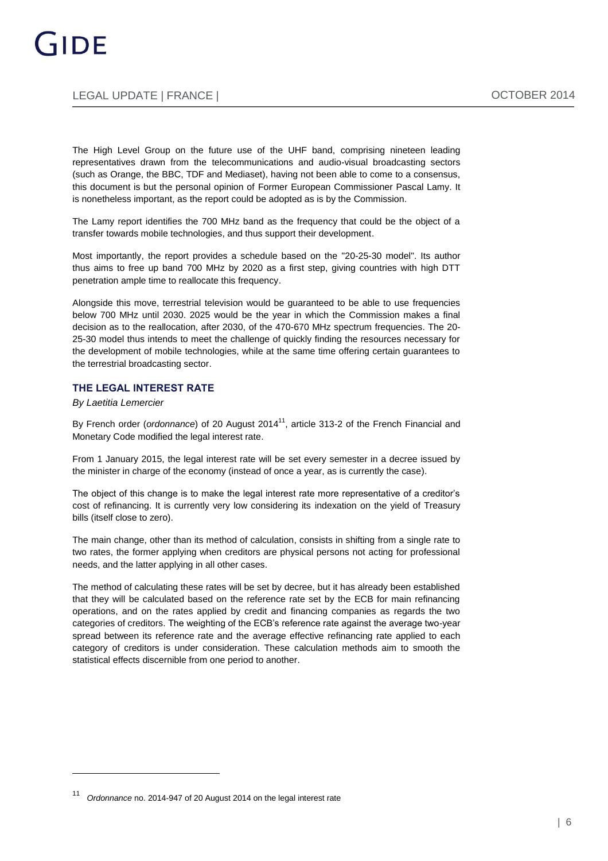### LEGAL UPDATE | FRANCE | OCTOBER 2014

The High Level Group on the future use of the UHF band, comprising nineteen leading representatives drawn from the telecommunications and audio-visual broadcasting sectors (such as Orange, the BBC, TDF and Mediaset), having not been able to come to a consensus, this document is but the personal opinion of Former European Commissioner Pascal Lamy. It is nonetheless important, as the report could be adopted as is by the Commission.

The Lamy report identifies the 700 MHz band as the frequency that could be the object of a transfer towards mobile technologies, and thus support their development.

Most importantly, the report provides a schedule based on the "20-25-30 model". Its author thus aims to free up band 700 MHz by 2020 as a first step, giving countries with high DTT penetration ample time to reallocate this frequency.

Alongside this move, terrestrial television would be guaranteed to be able to use frequencies below 700 MHz until 2030. 2025 would be the year in which the Commission makes a final decision as to the reallocation, after 2030, of the 470-670 MHz spectrum frequencies. The 20- 25-30 model thus intends to meet the challenge of quickly finding the resources necessary for the development of mobile technologies, while at the same time offering certain guarantees to the terrestrial broadcasting sector.

#### **THE LEGAL INTEREST RATE**

*B[y Laetitia Lemercier](http://www.gide.com/en/lawyers/laetitia-lemercier)*

By French order (*ordonnance*) of 20 August 2014<sup>11</sup>, article 313-2 of the French Financial and Monetary Code modified the legal interest rate.

From 1 January 2015, the legal interest rate will be set every semester in a decree issued by the minister in charge of the economy (instead of once a year, as is currently the case).

The object of this change is to make the legal interest rate more representative of a creditor's cost of refinancing. It is currently very low considering its indexation on the yield of Treasury bills (itself close to zero).

The main change, other than its method of calculation, consists in shifting from a single rate to two rates, the former applying when creditors are physical persons not acting for professional needs, and the latter applying in all other cases.

The method of calculating these rates will be set by decree, but it has already been established that they will be calculated based on the reference rate set by the ECB for main refinancing operations, and on the rates applied by credit and financing companies as regards the two categories of creditors. The weighting of the ECB's reference rate against the average two-year spread between its reference rate and the average effective refinancing rate applied to each category of creditors is under consideration. These calculation methods aim to smooth the statistical effects discernible from one period to another.

<sup>11</sup> *Ordonnance* no. 2014-947 of 20 August 2014 on the legal interest rate